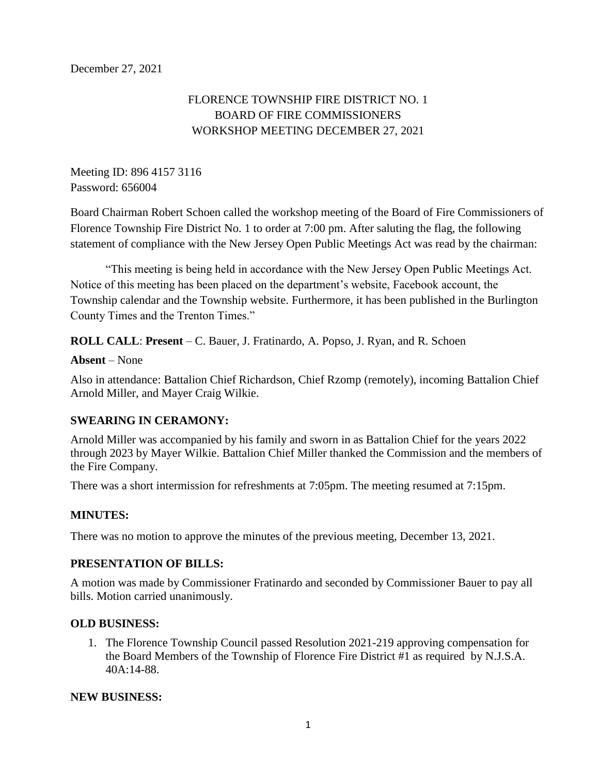# FLORENCE TOWNSHIP FIRE DISTRICT NO. 1 BOARD OF FIRE COMMISSIONERS WORKSHOP MEETING DECEMBER 27, 2021

Meeting ID: 896 4157 3116 Password: 656004

Board Chairman Robert Schoen called the workshop meeting of the Board of Fire Commissioners of Florence Township Fire District No. 1 to order at 7:00 pm. After saluting the flag, the following statement of compliance with the New Jersey Open Public Meetings Act was read by the chairman:

"This meeting is being held in accordance with the New Jersey Open Public Meetings Act. Notice of this meeting has been placed on the department's website, Facebook account, the Township calendar and the Township website. Furthermore, it has been published in the Burlington County Times and the Trenton Times."

**ROLL CALL**: **Present** – C. Bauer, J. Fratinardo, A. Popso, J. Ryan, and R. Schoen

#### **Absent** – None

Also in attendance: Battalion Chief Richardson, Chief Rzomp (remotely), incoming Battalion Chief Arnold Miller, and Mayer Craig Wilkie.

### **SWEARING IN CERAMONY:**

Arnold Miller was accompanied by his family and sworn in as Battalion Chief for the years 2022 through 2023 by Mayer Wilkie. Battalion Chief Miller thanked the Commission and the members of the Fire Company.

There was a short intermission for refreshments at 7:05pm. The meeting resumed at 7:15pm.

### **MINUTES:**

There was no motion to approve the minutes of the previous meeting, December 13, 2021.

#### **PRESENTATION OF BILLS:**

A motion was made by Commissioner Fratinardo and seconded by Commissioner Bauer to pay all bills. Motion carried unanimously.

#### **OLD BUSINESS:**

1. The Florence Township Council passed Resolution 2021-219 approving compensation for the Board Members of the Township of Florence Fire District #1 as required by N.J.S.A. 40A:14-88.

#### **NEW BUSINESS:**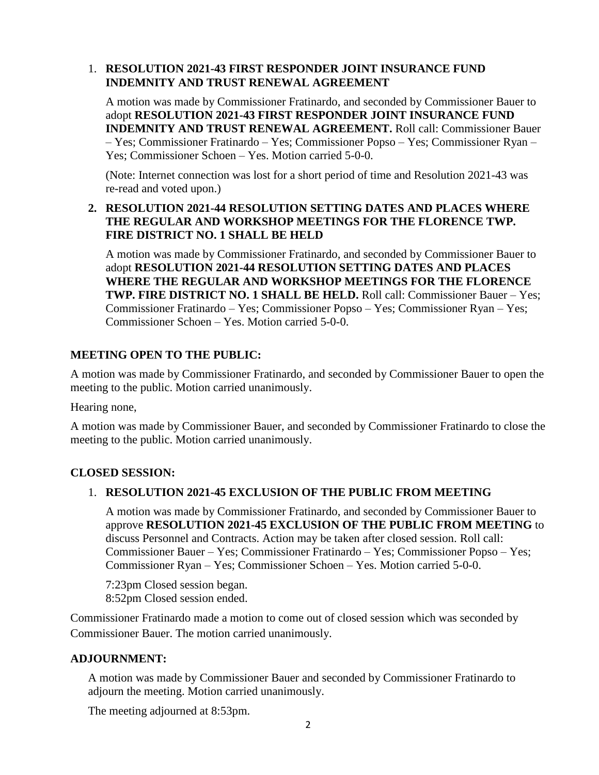### 1. **RESOLUTION 2021-43 FIRST RESPONDER JOINT INSURANCE FUND INDEMNITY AND TRUST RENEWAL AGREEMENT**

A motion was made by Commissioner Fratinardo, and seconded by Commissioner Bauer to adopt **RESOLUTION 2021-43 FIRST RESPONDER JOINT INSURANCE FUND INDEMNITY AND TRUST RENEWAL AGREEMENT.** Roll call: Commissioner Bauer – Yes; Commissioner Fratinardo – Yes; Commissioner Popso – Yes; Commissioner Ryan – Yes; Commissioner Schoen – Yes. Motion carried 5-0-0.

(Note: Internet connection was lost for a short period of time and Resolution 2021-43 was re-read and voted upon.)

### **2. RESOLUTION 2021-44 RESOLUTION SETTING DATES AND PLACES WHERE THE REGULAR AND WORKSHOP MEETINGS FOR THE FLORENCE TWP. FIRE DISTRICT NO. 1 SHALL BE HELD**

A motion was made by Commissioner Fratinardo, and seconded by Commissioner Bauer to adopt **RESOLUTION 2021-44 RESOLUTION SETTING DATES AND PLACES WHERE THE REGULAR AND WORKSHOP MEETINGS FOR THE FLORENCE TWP. FIRE DISTRICT NO. 1 SHALL BE HELD.** Roll call: Commissioner Bauer – Yes; Commissioner Fratinardo – Yes; Commissioner Popso – Yes; Commissioner Ryan – Yes; Commissioner Schoen – Yes. Motion carried 5-0-0.

## **MEETING OPEN TO THE PUBLIC:**

A motion was made by Commissioner Fratinardo, and seconded by Commissioner Bauer to open the meeting to the public. Motion carried unanimously.

Hearing none,

A motion was made by Commissioner Bauer, and seconded by Commissioner Fratinardo to close the meeting to the public. Motion carried unanimously.

## **CLOSED SESSION:**

## 1. **RESOLUTION 2021-45 EXCLUSION OF THE PUBLIC FROM MEETING**

A motion was made by Commissioner Fratinardo, and seconded by Commissioner Bauer to approve **RESOLUTION 2021-45 EXCLUSION OF THE PUBLIC FROM MEETING** to discuss Personnel and Contracts. Action may be taken after closed session. Roll call: Commissioner Bauer – Yes; Commissioner Fratinardo – Yes; Commissioner Popso – Yes; Commissioner Ryan – Yes; Commissioner Schoen – Yes. Motion carried 5-0-0.

7:23pm Closed session began. 8:52pm Closed session ended.

Commissioner Fratinardo made a motion to come out of closed session which was seconded by Commissioner Bauer. The motion carried unanimously.

### **ADJOURNMENT:**

A motion was made by Commissioner Bauer and seconded by Commissioner Fratinardo to adjourn the meeting. Motion carried unanimously.

The meeting adjourned at 8:53pm.